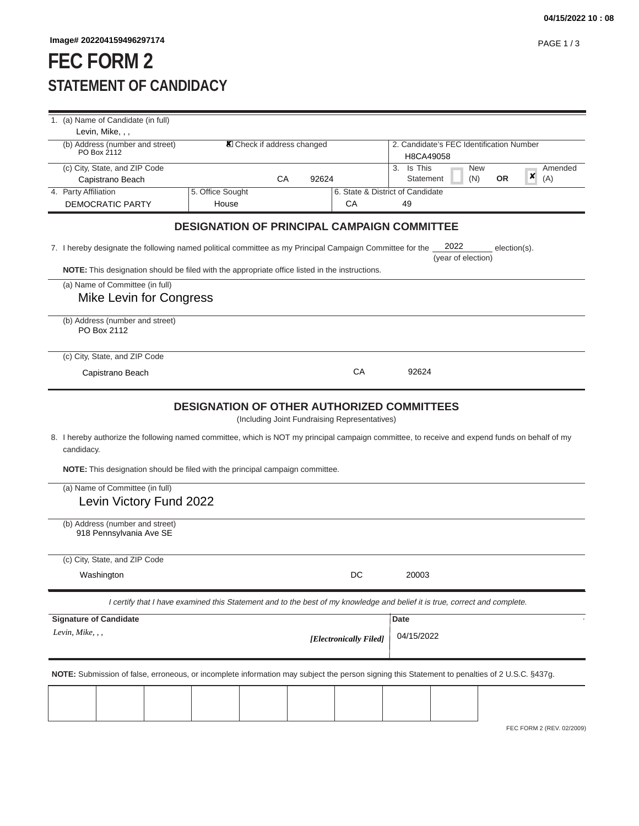## **FEC FORM 2 STATEMENT OF CANDIDACY**

| 1. (a) Name of Candidate (in full)                                                                                                                           |                  |                            |    |       |                                                    |            |                                                       |                    |    |              |         |
|--------------------------------------------------------------------------------------------------------------------------------------------------------------|------------------|----------------------------|----|-------|----------------------------------------------------|------------|-------------------------------------------------------|--------------------|----|--------------|---------|
| Levin, Mike, , ,                                                                                                                                             |                  |                            |    |       |                                                    |            |                                                       |                    |    |              |         |
| (b) Address (number and street)<br>PO Box 2112                                                                                                               |                  | X Check if address changed |    |       |                                                    |            | 2. Candidate's FEC Identification Number<br>H8CA49058 |                    |    |              |         |
| (c) City, State, and ZIP Code                                                                                                                                |                  |                            |    |       |                                                    | 3. Is This |                                                       | <b>New</b>         |    |              | Amended |
| Capistrano Beach                                                                                                                                             |                  |                            | СA | 92624 |                                                    |            | Statement                                             | (N)                | 0R | ×            | (A)     |
| 4. Party Affiliation                                                                                                                                         | 5. Office Sought |                            |    |       | 6. State & District of Candidate                   |            |                                                       |                    |    |              |         |
| DEMOCRATIC PARTY                                                                                                                                             | House            |                            |    |       | СA                                                 | 49         |                                                       |                    |    |              |         |
|                                                                                                                                                              |                  |                            |    |       | <b>DESIGNATION OF PRINCIPAL CAMPAIGN COMMITTEE</b> |            |                                                       |                    |    |              |         |
| 7. I hereby designate the following named political committee as my Principal Campaign Committee for the                                                     |                  |                            |    |       |                                                    |            | 2022                                                  | (year of election) |    | election(s). |         |
| NOTE: This designation should be filed with the appropriate office listed in the instructions.                                                               |                  |                            |    |       |                                                    |            |                                                       |                    |    |              |         |
| (a) Name of Committee (in full)                                                                                                                              |                  |                            |    |       |                                                    |            |                                                       |                    |    |              |         |
| Mike Levin for Congress                                                                                                                                      |                  |                            |    |       |                                                    |            |                                                       |                    |    |              |         |
| (b) Address (number and street)<br>PO Box 2112                                                                                                               |                  |                            |    |       |                                                    |            |                                                       |                    |    |              |         |
| (c) City, State, and ZIP Code                                                                                                                                |                  |                            |    |       |                                                    |            |                                                       |                    |    |              |         |
| Capistrano Beach                                                                                                                                             |                  |                            |    |       | СA                                                 | 92624      |                                                       |                    |    |              |         |
|                                                                                                                                                              |                  |                            |    |       |                                                    |            |                                                       |                    |    |              |         |
|                                                                                                                                                              |                  |                            |    |       | <b>DESIGNATION OF OTHER AUTHORIZED COMMITTEES</b>  |            |                                                       |                    |    |              |         |
|                                                                                                                                                              |                  |                            |    |       | (Including Joint Fundraising Representatives)      |            |                                                       |                    |    |              |         |
| 8. I hereby authorize the following named committee, which is NOT my principal campaign committee, to receive and expend funds on behalf of my<br>candidacy. |                  |                            |    |       |                                                    |            |                                                       |                    |    |              |         |
| <b>NOTE:</b> This designation should be filed with the principal campaign committee.                                                                         |                  |                            |    |       |                                                    |            |                                                       |                    |    |              |         |
| (a) Name of Committee (in full)                                                                                                                              |                  |                            |    |       |                                                    |            |                                                       |                    |    |              |         |
| Levin Victory Fund 2022                                                                                                                                      |                  |                            |    |       |                                                    |            |                                                       |                    |    |              |         |
| (b) Address (number and street)<br>918 Pennsylvania Ave SE                                                                                                   |                  |                            |    |       |                                                    |            |                                                       |                    |    |              |         |
|                                                                                                                                                              |                  |                            |    |       |                                                    |            |                                                       |                    |    |              |         |
| (c) City, State, and ZIP Code                                                                                                                                |                  |                            |    |       |                                                    |            |                                                       |                    |    |              |         |
| Washington                                                                                                                                                   |                  |                            |    |       | $\mathsf{DC}$                                      | 20003      |                                                       |                    |    |              |         |
| I certify that I have examined this Statement and to the best of my knowledge and belief it is true, correct and complete.                                   |                  |                            |    |       |                                                    |            |                                                       |                    |    |              |         |
| <b>Signature of Candidate</b>                                                                                                                                |                  |                            |    |       |                                                    | Date       |                                                       |                    |    |              |         |
| Levin, Mike, , ,                                                                                                                                             |                  |                            |    |       | [Electronically Filed]                             | 04/15/2022 |                                                       |                    |    |              |         |
|                                                                                                                                                              |                  |                            |    |       |                                                    |            |                                                       |                    |    |              |         |
| NOTE: Submission of false, erroneous, or incomplete information may subject the person signing this Statement to penalties of 2 U.S.C. §437g.                |                  |                            |    |       |                                                    |            |                                                       |                    |    |              |         |
|                                                                                                                                                              |                  |                            |    |       |                                                    |            |                                                       |                    |    |              |         |
|                                                                                                                                                              |                  |                            |    |       |                                                    |            |                                                       |                    |    |              |         |
|                                                                                                                                                              |                  |                            |    |       |                                                    |            |                                                       |                    |    |              |         |

FEC FORM 2 (REV. 02/2009)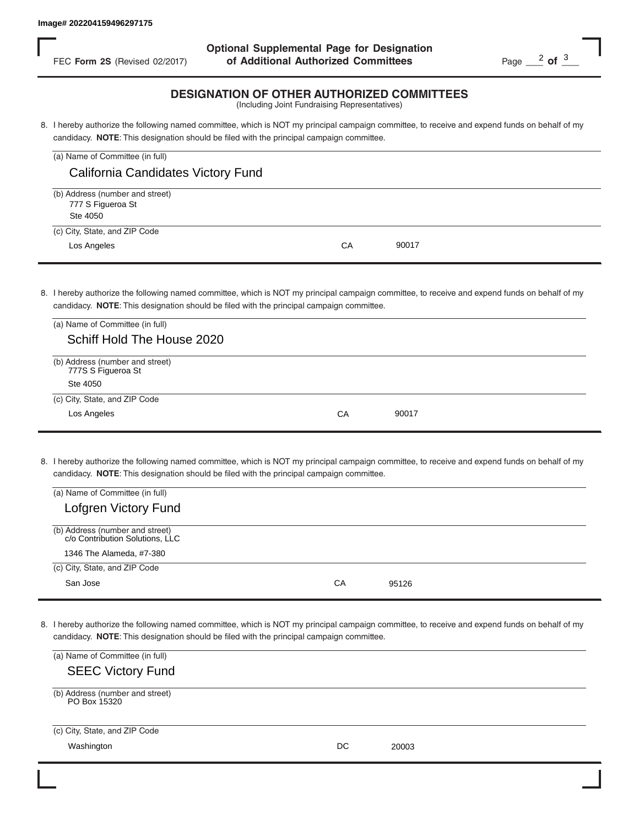FEC **Form 2S** (Revised 02/2017) **of Additional Authorized Committees** Page 2 of 3 **Optional Supplemental Page for Designation**

## **DESIGNATION OF OTHER AUTHORIZED COMMITTEES**

| (a) Name of Committee (in full)                                  |    |       |
|------------------------------------------------------------------|----|-------|
| California Candidates Victory Fund                               |    |       |
| (b) Address (number and street)<br>777 S Figueroa St<br>Ste 4050 |    |       |
| (c) City, State, and ZIP Code<br>Los Angeles                     | CA | 90017 |

| FEC Form 2S (Revised 02/2017)                                                                                                               | of Additional Authorized Committees                                                                                                                                                                                                        | Page $\frac{2}{1}$ of $\frac{3}{1}$ |
|---------------------------------------------------------------------------------------------------------------------------------------------|--------------------------------------------------------------------------------------------------------------------------------------------------------------------------------------------------------------------------------------------|-------------------------------------|
|                                                                                                                                             | <b>DESIGNATION OF OTHER AUTHORIZED COMMITTEES</b><br>(Including Joint Fundraising Representatives)                                                                                                                                         |                                     |
|                                                                                                                                             | 8. I hereby authorize the following named committee, which is NOT my principal campaign committee, to receive and expend funds on behalf of my<br>candidacy. NOTE: This designation should be filed with the principal campaign committee. |                                     |
| (a) Name of Committee (in full)                                                                                                             |                                                                                                                                                                                                                                            |                                     |
| California Candidates Victory Fund                                                                                                          |                                                                                                                                                                                                                                            |                                     |
| (b) Address (number and street)<br>777 S Figueroa St<br>Ste 4050                                                                            |                                                                                                                                                                                                                                            |                                     |
| (c) City, State, and ZIP Code                                                                                                               |                                                                                                                                                                                                                                            |                                     |
| Los Angeles                                                                                                                                 | CA<br>90017                                                                                                                                                                                                                                |                                     |
| (a) Name of Committee (in full)<br>Schiff Hold The House 2020                                                                               | 8. I hereby authorize the following named committee, which is NOT my principal campaign committee, to receive and expend funds on behalf of my<br>candidacy. NOTE: This designation should be filed with the principal campaign committee. |                                     |
| (b) Address (number and street)<br>777S S Figueroa St<br>Ste 4050<br>(c) City, State, and ZIP Code                                          |                                                                                                                                                                                                                                            |                                     |
| Los Angeles                                                                                                                                 | 90017<br>СA                                                                                                                                                                                                                                |                                     |
| (a) Name of Committee (in full)<br><b>Lofgren Victory Fund</b>                                                                              | 8. I hereby authorize the following named committee, which is NOT my principal campaign committee, to receive and expend funds on behalf of my<br>candidacy. NOTE: This designation should be filed with the principal campaign committee. |                                     |
| (b) Address (number and street)<br>c/o Contribution Solutions, LLC<br>1346 The Alameda, #7-380<br>(c) City, State, and ZIP Code<br>San Jose | CA<br>95126                                                                                                                                                                                                                                |                                     |
| (a) Name of Committee (in full)                                                                                                             | 8. I hereby authorize the following named committee, which is NOT my principal campaign committee, to receive and expend funds on behalf of my<br>candidacy. NOTE: This designation should be filed with the principal campaign committee. |                                     |
| <b>SEEC Victory Fund</b>                                                                                                                    |                                                                                                                                                                                                                                            |                                     |
| (b) Address (number and street)<br>PO Box 15320                                                                                             |                                                                                                                                                                                                                                            |                                     |
| (c) City, State, and ZIP Code                                                                                                               |                                                                                                                                                                                                                                            |                                     |
| Washington                                                                                                                                  | DC<br>20003                                                                                                                                                                                                                                |                                     |

| (a) Name of Committee (in full)                                    |    |       |
|--------------------------------------------------------------------|----|-------|
| <b>Lofgren Victory Fund</b>                                        |    |       |
| (b) Address (number and street)<br>c/o Contribution Solutions, LLC |    |       |
| 1346 The Alameda, #7-380                                           |    |       |
| (c) City, State, and ZIP Code                                      |    |       |
| San Jose                                                           | CА | 95126 |

| (a) Name of Committee (in full)                 |    |       |  |
|-------------------------------------------------|----|-------|--|
| <b>SEEC Victory Fund</b>                        |    |       |  |
| (b) Address (number and street)<br>PO Box 15320 |    |       |  |
| (c) City, State, and ZIP Code                   |    |       |  |
| Washington                                      | DC | 20003 |  |